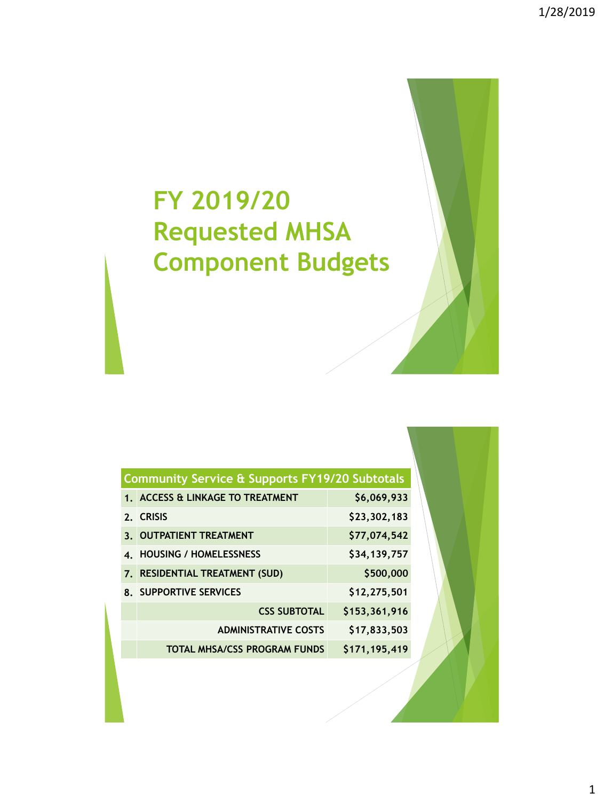## **FY 2019/20 Requested MHSA Component Budgets**

| <b>Community Service &amp; Supports FY19/20 Subtotals</b> |                                     |               |  |
|-----------------------------------------------------------|-------------------------------------|---------------|--|
|                                                           | 1. ACCESS & LINKAGE TO TREATMENT    | \$6,069,933   |  |
|                                                           | 2. CRISIS                           | \$23,302,183  |  |
|                                                           | 3. OUTPATIENT TREATMENT             | \$77,074,542  |  |
|                                                           | 4. HOUSING / HOMELESSNESS           | \$34,139,757  |  |
|                                                           | 7. RESIDENTIAL TREATMENT (SUD)      | \$500,000     |  |
|                                                           | <b>8. SUPPORTIVE SERVICES</b>       | \$12,275,501  |  |
|                                                           | <b>CSS SUBTOTAL</b>                 | \$153,361,916 |  |
|                                                           | <b>ADMINISTRATIVE COSTS</b>         | \$17,833,503  |  |
|                                                           | <b>TOTAL MHSA/CSS PROGRAM FUNDS</b> | \$171,195,419 |  |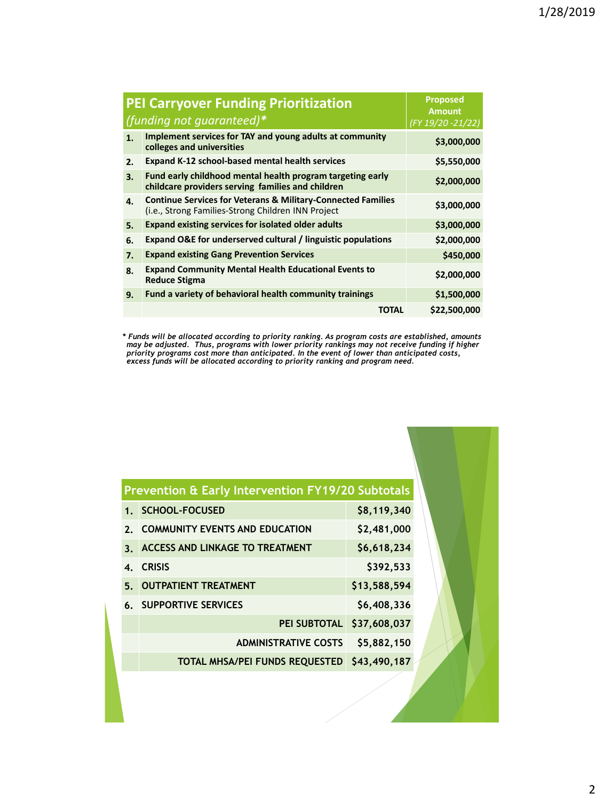|    | <b>PEI Carryover Funding Prioritization</b>                                                                                   | <b>Proposed</b>                    |
|----|-------------------------------------------------------------------------------------------------------------------------------|------------------------------------|
|    | (funding not quaranteed)*                                                                                                     | <b>Amount</b><br>(FY 19/20 -21/22) |
| 1. | Implement services for TAY and young adults at community<br>colleges and universities                                         | \$3,000,000                        |
| 2. | <b>Expand K-12 school-based mental health services</b>                                                                        | \$5,550,000                        |
| 3. | Fund early childhood mental health program targeting early<br>childcare providers serving families and children               | \$2,000,000                        |
| 4. | <b>Continue Services for Veterans &amp; Military-Connected Families</b><br>(i.e., Strong Families-Strong Children INN Project | \$3,000,000                        |
| 5. | <b>Expand existing services for isolated older adults</b>                                                                     | \$3,000,000                        |
| 6. | Expand O&E for underserved cultural / linguistic populations                                                                  | \$2,000,000                        |
| 7. | <b>Expand existing Gang Prevention Services</b>                                                                               | \$450,000                          |
| 8. | <b>Expand Community Mental Health Educational Events to</b><br><b>Reduce Stigma</b>                                           | \$2,000,000                        |
| 9. | Fund a variety of behavioral health community trainings                                                                       | \$1,500,000                        |
|    | TOTAL                                                                                                                         | \$22,500,000                       |

\* Funds will be allocated according to priority ranking. As program costs are established, amounts<br>may be adjusted. Thus, programs with lower priority rankings may not receive funding if higher<br>priority programs cost more

|                | <b>Prevention &amp; Early Intervention FY19/20 Subtotals</b> |              |
|----------------|--------------------------------------------------------------|--------------|
|                | 1. SCHOOL-FOCUSED                                            | \$8,119,340  |
| $\mathcal{P}$  | <b>COMMUNITY EVENTS AND EDUCATION</b>                        | \$2,481,000  |
| 3 <sub>1</sub> | <b>ACCESS AND LINKAGE TO TREATMENT</b>                       | \$6,618,234  |
|                | 4. CRISIS                                                    | \$392,533    |
| 5 <sub>1</sub> | <b>OUTPATIENT TREATMENT</b>                                  | \$13,588,594 |
|                | <b>6. SUPPORTIVE SERVICES</b>                                | \$6,408,336  |
|                | PEI SUBTOTAL                                                 | \$37,608,037 |
|                | <b>ADMINISTRATIVE COSTS</b>                                  | \$5,882,150  |
|                | TOTAL MHSA/PEI FUNDS REQUESTED \$43,490,187                  |              |
|                |                                                              |              |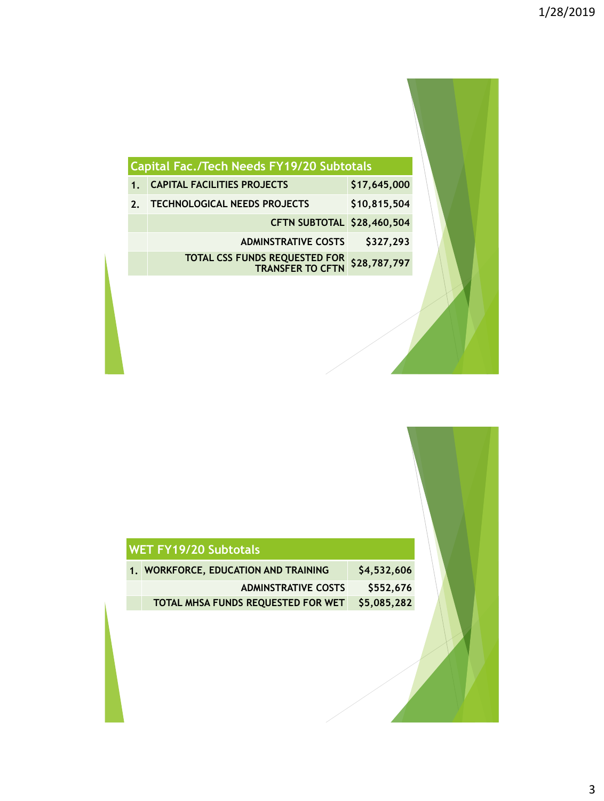| Capital Fac./Tech Needs FY19/20 Subtotals |                                                                 |              |  |
|-------------------------------------------|-----------------------------------------------------------------|--------------|--|
| 1.                                        | <b>CAPITAL FACILITIES PROJECTS</b>                              | \$17,645,000 |  |
| $\mathbf{2}$ .                            | <b>TECHNOLOGICAL NEEDS PROJECTS</b>                             | \$10,815,504 |  |
|                                           | CFTN SUBTOTAL \$28,460,504                                      |              |  |
|                                           | <b>ADMINSTRATIVE COSTS</b>                                      | \$327,293    |  |
|                                           | <b>TOTAL CSS FUNDS REQUESTED FOR</b><br><b>TRANSFER TO CFTN</b> | \$28,787,797 |  |
|                                           |                                                                 |              |  |
|                                           |                                                                 |              |  |